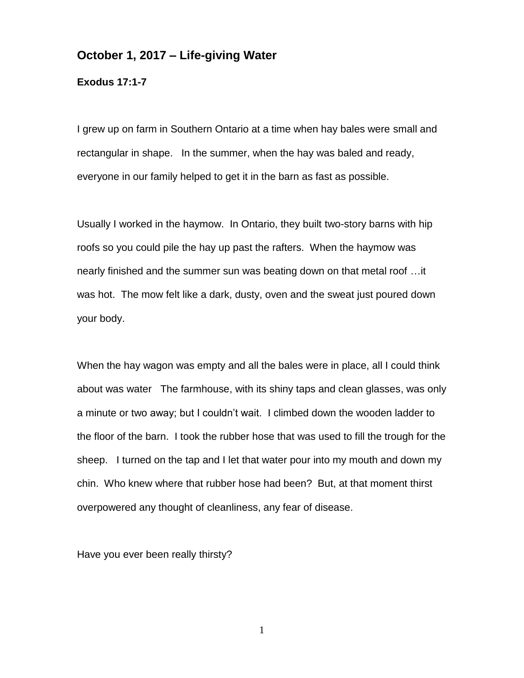## **October 1, 2017 – Life-giving Water**

**Exodus 17:1-7**

I grew up on farm in Southern Ontario at a time when hay bales were small and rectangular in shape. In the summer, when the hay was baled and ready, everyone in our family helped to get it in the barn as fast as possible.

Usually I worked in the haymow. In Ontario, they built two-story barns with hip roofs so you could pile the hay up past the rafters. When the haymow was nearly finished and the summer sun was beating down on that metal roof …it was hot. The mow felt like a dark, dusty, oven and the sweat just poured down your body.

When the hay wagon was empty and all the bales were in place, all I could think about was water The farmhouse, with its shiny taps and clean glasses, was only a minute or two away; but I couldn't wait. I climbed down the wooden ladder to the floor of the barn. I took the rubber hose that was used to fill the trough for the sheep. I turned on the tap and I let that water pour into my mouth and down my chin. Who knew where that rubber hose had been? But, at that moment thirst overpowered any thought of cleanliness, any fear of disease.

Have you ever been really thirsty?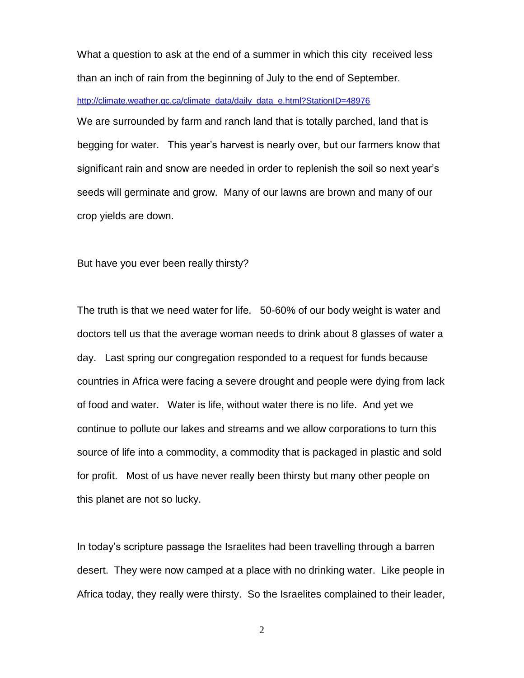What a question to ask at the end of a summer in which this city received less than an inch of rain from the beginning of July to the end of September.

## [http://climate.weather.gc.ca/climate\\_data/daily\\_data\\_e.html?StationID=48976](http://climate.weather.gc.ca/climate_data/daily_data_e.html?StationID=48976)

We are surrounded by farm and ranch land that is totally parched, land that is begging for water. This year's harvest is nearly over, but our farmers know that significant rain and snow are needed in order to replenish the soil so next year's seeds will germinate and grow. Many of our lawns are brown and many of our crop yields are down.

But have you ever been really thirsty?

The truth is that we need water for life. 50-60% of our body weight is water and doctors tell us that the average woman needs to drink about 8 glasses of water a day. Last spring our congregation responded to a request for funds because countries in Africa were facing a severe drought and people were dying from lack of food and water. Water is life, without water there is no life. And yet we continue to pollute our lakes and streams and we allow corporations to turn this source of life into a commodity, a commodity that is packaged in plastic and sold for profit. Most of us have never really been thirsty but many other people on this planet are not so lucky.

In today's scripture passage the Israelites had been travelling through a barren desert. They were now camped at a place with no drinking water. Like people in Africa today, they really were thirsty. So the Israelites complained to their leader,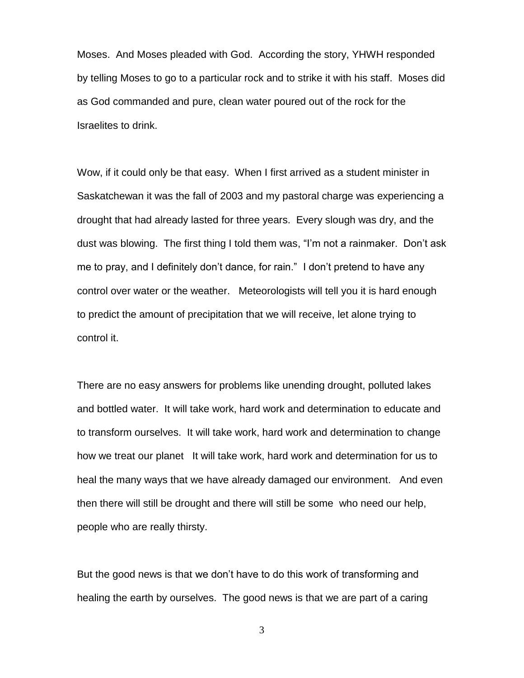Moses. And Moses pleaded with God. According the story, YHWH responded by telling Moses to go to a particular rock and to strike it with his staff. Moses did as God commanded and pure, clean water poured out of the rock for the Israelites to drink.

Wow, if it could only be that easy. When I first arrived as a student minister in Saskatchewan it was the fall of 2003 and my pastoral charge was experiencing a drought that had already lasted for three years. Every slough was dry, and the dust was blowing. The first thing I told them was, "I'm not a rainmaker. Don't ask me to pray, and I definitely don't dance, for rain." I don't pretend to have any control over water or the weather. Meteorologists will tell you it is hard enough to predict the amount of precipitation that we will receive, let alone trying to control it.

There are no easy answers for problems like unending drought, polluted lakes and bottled water. It will take work, hard work and determination to educate and to transform ourselves. It will take work, hard work and determination to change how we treat our planet It will take work, hard work and determination for us to heal the many ways that we have already damaged our environment. And even then there will still be drought and there will still be some who need our help, people who are really thirsty.

But the good news is that we don't have to do this work of transforming and healing the earth by ourselves. The good news is that we are part of a caring